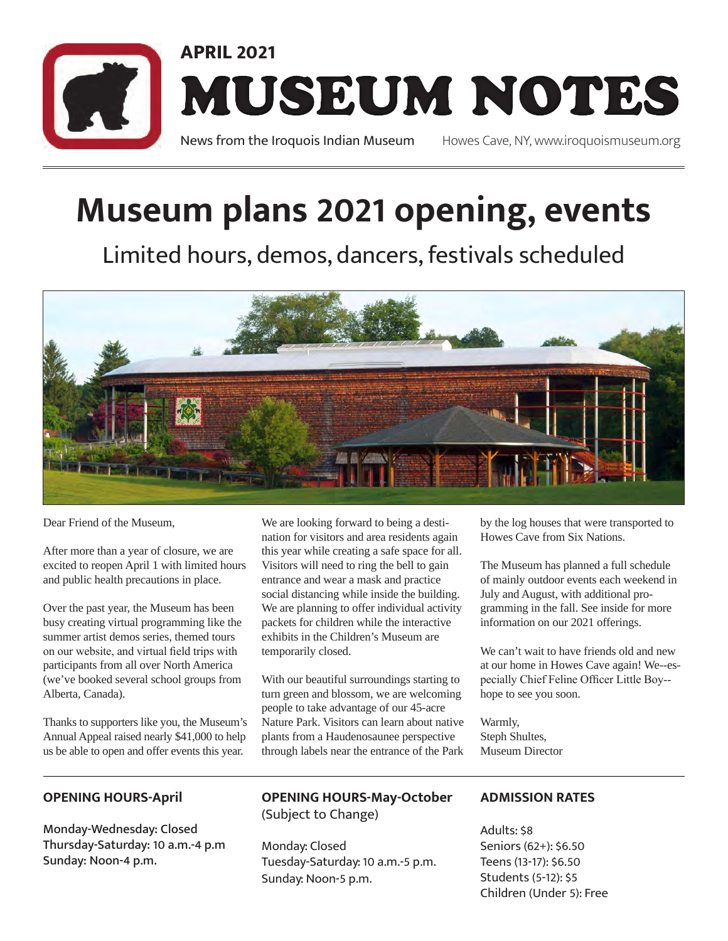

## **Museum plans 2021 opening, events**

Limited hours, demos, dancers, festivals scheduled



Dear Friend of the Museum,

After more than a year of closure, we are excited to reopen April 1 with limited hours and public health precautions in place.

Over the past year, the Museum has been busy creating virtual programming like the summer artist demos series, themed tours on our website, and virtual field trips with participants from all over North America (we've booked several school groups from Alberta, Canada).

Thanks to supporters like you, the Museum's Annual Appeal raised nearly \$41,000 to help us be able to open and offer events this year.

We are looking forward to being a destination for visitors and area residents again this year while creating a safe space for all. Visitors will need to ring the bell to gain entrance and wear a mask and practice social distancing while inside the building. We are planning to offer individual activity packets for children while the interactive exhibits in the Children's Museum are temporarily closed.

With our beautiful surroundings starting to turn green and blossom, we are welcoming people to take advantage of our 45-acre Nature Park. Visitors can learn about native plants from a Haudenosaunee perspective through labels near the entrance of the Park by the log houses that were transported to Howes Cave from Six Nations.

The Museum has planned a full schedule of mainly outdoor events each weekend in July and August, with additional programming in the fall. See inside for more information on our 2021 offerings.

We can't wait to have friends old and new at our home in Howes Cave again! We--especially Chief Feline Officer Little Boy- hope to see you soon.

Warmly, Steph Shultes, Museum Director

#### **OPENING HOURS-April**

Monday-Wednesday: Closed Thursday-Saturday: 10 a.m.-4 p.m Sunday: Noon-4 p.m.

#### **OPENING HOURS-May-October**  (Subject to Change)

Monday: Closed Tuesday-Saturday: 10 a.m.-5 p.m. Sunday: Noon-5 p.m.

#### **ADMISSION RATES**

Adults: \$8 Seniors (62+): \$6.50 Teens (13-17): \$6.50 Students (5-12): \$5 Children (Under 5): Free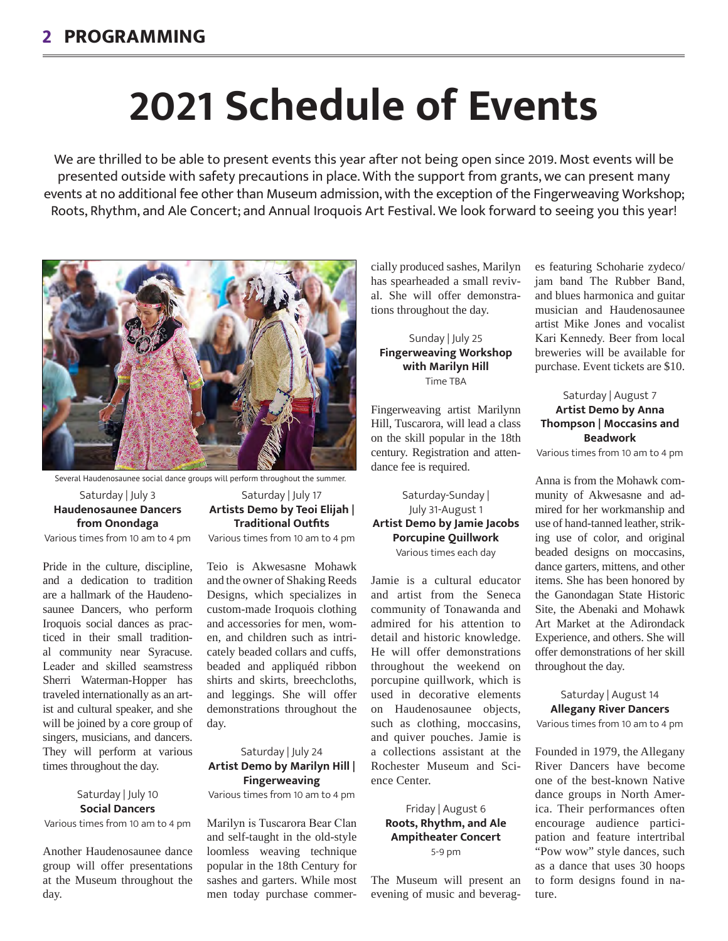# **2021 Schedule of Events**

We are thrilled to be able to present events this year after not being open since 2019. Most events will be presented outside with safety precautions in place. With the support from grants, we can present many events at no additional fee other than Museum admission, with the exception of the Fingerweaving Workshop; Roots, Rhythm, and Ale Concert; and Annual Iroquois Art Festival. We look forward to seeing you this year!



Several Haudenosaunee social dance groups will perform throughout the summer.

#### Saturday | July 3 **Haudenosaunee Dancers from Onondaga**

Various times from 10 am to 4 pm

Pride in the culture, discipline, and a dedication to tradition are a hallmark of the Haudenosaunee Dancers, who perform Iroquois social dances as practiced in their small traditional community near Syracuse. Leader and skilled seamstress Sherri Waterman-Hopper has traveled internationally as an artist and cultural speaker, and she will be joined by a core group of singers, musicians, and dancers. They will perform at various times throughout the day.

#### Saturday | July 10 **Social Dancers**

Various times from 10 am to 4 pm

Another Haudenosaunee dance group will offer presentations at the Museum throughout the day.

Saturday | July 17 **Artists Demo by Teoi Elijah | Traditional Outfits** Various times from 10 am to 4 pm

Teio is Akwesasne Mohawk and the owner of Shaking Reeds Designs, which specializes in custom-made Iroquois clothing and accessories for men, women, and children such as intricately beaded collars and cuffs, beaded and appliquéd ribbon shirts and skirts, breechcloths, and leggings. She will offer demonstrations throughout the day.

#### Saturday | July 24 **Artist Demo by Marilyn Hill | Fingerweaving**

Various times from 10 am to 4 pm

Marilyn is Tuscarora Bear Clan and self-taught in the old-style loomless weaving technique popular in the 18th Century for sashes and garters. While most men today purchase commercially produced sashes, Marilyn has spearheaded a small revival. She will offer demonstrations throughout the day.

#### Sunday | July 25 **Fingerweaving Workshop with Marilyn Hill** Time TBA

Fingerweaving artist Marilynn Hill, Tuscarora, will lead a class on the skill popular in the 18th century. Registration and attendance fee is required.

#### Saturday-Sunday | July 31-August 1 **Artist Demo by Jamie Jacobs Porcupine Quillwork** Various times each day

Jamie is a cultural educator and artist from the Seneca community of Tonawanda and admired for his attention to detail and historic knowledge. He will offer demonstrations throughout the weekend on porcupine quillwork, which is used in decorative elements on Haudenosaunee objects, such as clothing, moccasins, and quiver pouches. Jamie is a collections assistant at the Rochester Museum and Science Center.

#### Friday | August 6 **Roots, Rhythm, and Ale Ampitheater Concert** 5-9 pm

The Museum will present an evening of music and beverag-

es featuring Schoharie zydeco/ jam band The Rubber Band, and blues harmonica and guitar musician and Haudenosaunee artist Mike Jones and vocalist Kari Kennedy. Beer from local breweries will be available for purchase. Event tickets are \$10.

#### Saturday | August 7 **Artist Demo by Anna Thompson | Moccasins and Beadwork**

Various times from 10 am to 4 pm

Anna is from the Mohawk community of Akwesasne and admired for her workmanship and use of hand-tanned leather, striking use of color, and original beaded designs on moccasins, dance garters, mittens, and other items. She has been honored by the Ganondagan State Historic Site, the Abenaki and Mohawk Art Market at the Adirondack Experience, and others. She will offer demonstrations of her skill throughout the day.

#### Saturday | August 14 **Allegany River Dancers**

Various times from 10 am to 4 pm

Founded in 1979, the Allegany River Dancers have become one of the best-known Native dance groups in North America. Their performances often encourage audience participation and feature intertribal "Pow wow" style dances, such as a dance that uses 30 hoops to form designs found in nature.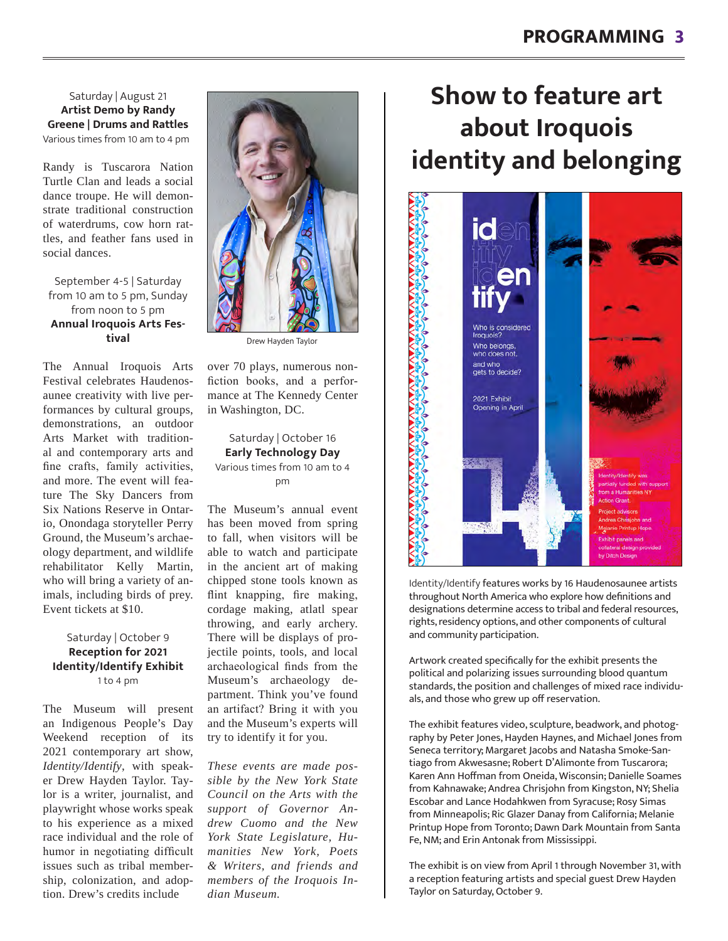Saturday | August 21 **Artist Demo by Randy Greene | Drums and Rattles** Various times from 10 am to 4 pm

Randy is Tuscarora Nation Turtle Clan and leads a social dance troupe. He will demonstrate traditional construction of waterdrums, cow horn rattles, and feather fans used in social dances.

September 4-5 | Saturday from 10 am to 5 pm, Sunday from noon to 5 pm **Annual Iroquois Arts Festival**

The Annual Iroquois Arts Festival celebrates Haudenosaunee creativity with live performances by cultural groups, demonstrations, an outdoor Arts Market with traditional and contemporary arts and fine crafts, family activities, and more. The event will feature The Sky Dancers from Six Nations Reserve in Ontario, Onondaga storyteller Perry Ground, the Museum's archaeology department, and wildlife rehabilitator Kelly Martin, who will bring a variety of animals, including birds of prey. Event tickets at \$10.

#### Saturday | October 9 **Reception for 2021 Identity/Identify Exhibit** 1 to 4 pm

The Museum will present an Indigenous People's Day Weekend reception of its 2021 contemporary art show, *Identity/Identify*, with speaker Drew Hayden Taylor. Taylor is a writer, journalist, and playwright whose works speak to his experience as a mixed race individual and the role of humor in negotiating difficult issues such as tribal membership, colonization, and adoption. Drew's credits include



Drew Hayden Taylor

over 70 plays, numerous nonfiction books, and a performance at The Kennedy Center in Washington, DC.

#### Saturday | October 16 **Early Technology Day** Various times from 10 am to 4 pm

The Museum's annual event has been moved from spring to fall, when visitors will be able to watch and participate in the ancient art of making chipped stone tools known as flint knapping, fire making, cordage making, atlatl spear throwing, and early archery. There will be displays of projectile points, tools, and local archaeological finds from the Museum's archaeology department. Think you've found an artifact? Bring it with you and the Museum's experts will try to identify it for you.

*These events are made possible by the New York State Council on the Arts with the support of Governor Andrew Cuomo and the New York State Legislature, Humanities New York, Poets & Writers, and friends and members of the Iroquois Indian Museum.* 

## **Show to feature art about Iroquois identity and belonging**



Identity/Identify features works by 16 Haudenosaunee artists throughout North America who explore how definitions and designations determine access to tribal and federal resources, rights, residency options, and other components of cultural and community participation.

Artwork created specifically for the exhibit presents the political and polarizing issues surrounding blood quantum standards, the position and challenges of mixed race individuals, and those who grew up off reservation.

The exhibit features video, sculpture, beadwork, and photography by Peter Jones, Hayden Haynes, and Michael Jones from Seneca territory; Margaret Jacobs and Natasha Smoke-Santiago from Akwesasne; Robert D'Alimonte from Tuscarora; Karen Ann Hoffman from Oneida, Wisconsin; Danielle Soames from Kahnawake; Andrea Chrisjohn from Kingston, NY; Shelia Escobar and Lance Hodahkwen from Syracuse; Rosy Simas from Minneapolis; Ric Glazer Danay from California; Melanie Printup Hope from Toronto; Dawn Dark Mountain from Santa Fe, NM; and Erin Antonak from Mississippi.

The exhibit is on view from April 1 through November 31, with a reception featuring artists and special guest Drew Hayden Taylor on Saturday, October 9.